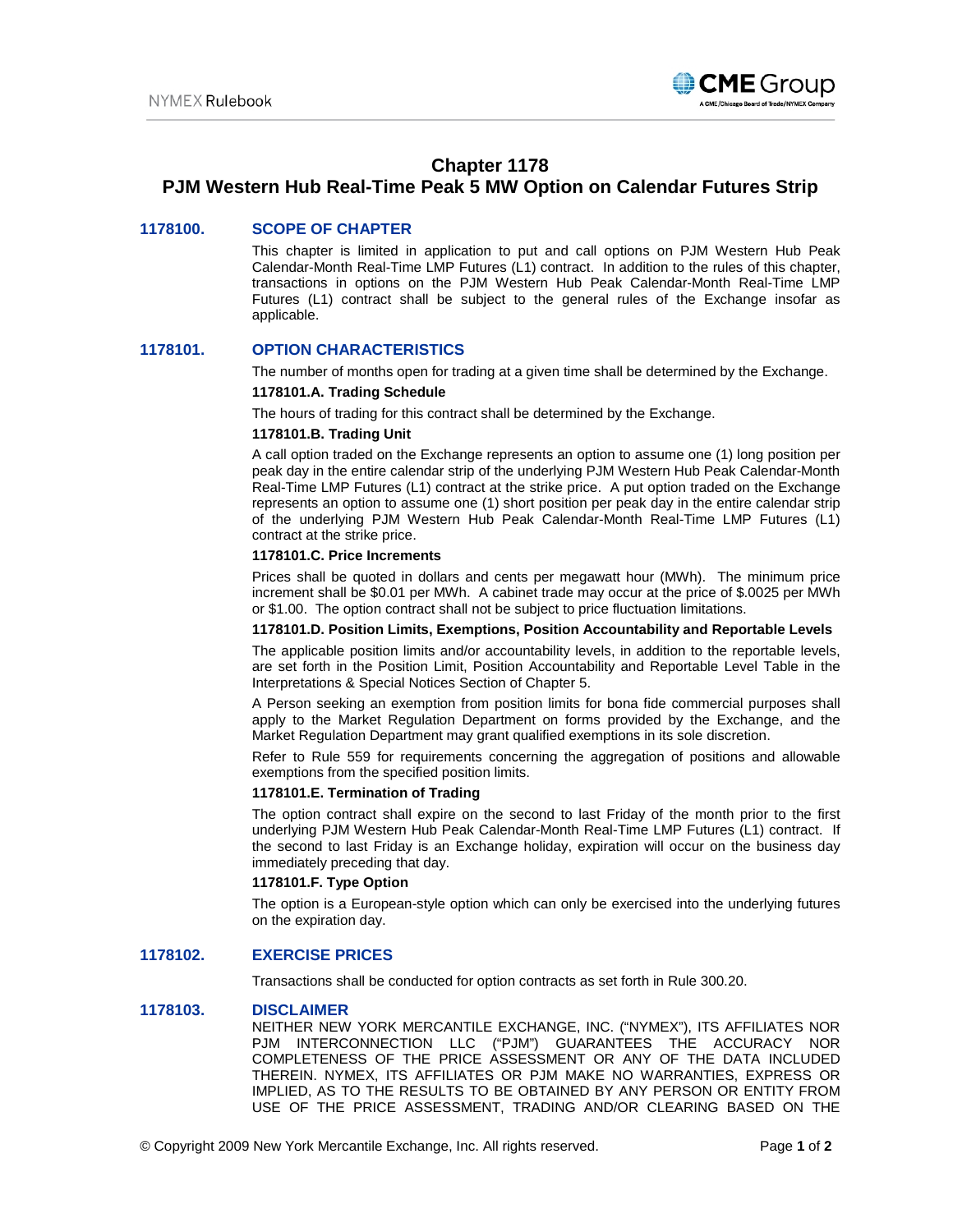

# **Chapter 1178**

# **PJM Western Hub Real-Time Peak 5 MW Option on Calendar Futures Strip**

# **1178100. SCOPE OF CHAPTER**

This chapter is limited in application to put and call options on PJM Western Hub Peak Calendar-Month Real-Time LMP Futures (L1) contract. In addition to the rules of this chapter, transactions in options on the PJM Western Hub Peak Calendar-Month Real-Time LMP Futures (L1) contract shall be subject to the general rules of the Exchange insofar as applicable.

## **1178101. OPTION CHARACTERISTICS**

The number of months open for trading at a given time shall be determined by the Exchange.

#### **1178101.A. Trading Schedule**

The hours of trading for this contract shall be determined by the Exchange.

#### **1178101.B. Trading Unit**

A call option traded on the Exchange represents an option to assume one (1) long position per peak day in the entire calendar strip of the underlying PJM Western Hub Peak Calendar-Month Real-Time LMP Futures (L1) contract at the strike price. A put option traded on the Exchange represents an option to assume one (1) short position per peak day in the entire calendar strip of the underlying PJM Western Hub Peak Calendar-Month Real-Time LMP Futures (L1) contract at the strike price.

# **1178101.C. Price Increments**

Prices shall be quoted in dollars and cents per megawatt hour (MWh). The minimum price increment shall be \$0.01 per MWh. A cabinet trade may occur at the price of \$.0025 per MWh or \$1.00. The option contract shall not be subject to price fluctuation limitations.

#### **1178101.D. Position Limits, Exemptions, Position Accountability and Reportable Levels**

The applicable position limits and/or accountability levels, in addition to the reportable levels, are set forth in the Position Limit, Position Accountability and Reportable Level Table in the Interpretations & Special Notices Section of Chapter 5.

A Person seeking an exemption from position limits for bona fide commercial purposes shall apply to the Market Regulation Department on forms provided by the Exchange, and the Market Regulation Department may grant qualified exemptions in its sole discretion.

Refer to Rule 559 for requirements concerning the aggregation of positions and allowable exemptions from the specified position limits.

### **1178101.E. Termination of Trading**

The option contract shall expire on the second to last Friday of the month prior to the first underlying PJM Western Hub Peak Calendar-Month Real-Time LMP Futures (L1) contract. If the second to last Friday is an Exchange holiday, expiration will occur on the business day immediately preceding that day.

#### **1178101.F. Type Option**

The option is a European-style option which can only be exercised into the underlying futures on the expiration day.

# **1178102. EXERCISE PRICES**

Transactions shall be conducted for option contracts as set forth in Rule 300.20.

### **1178103. DISCLAIMER**

NEITHER NEW YORK MERCANTILE EXCHANGE, INC. ("NYMEX"), ITS AFFILIATES NOR PJM INTERCONNECTION LLC ("PJM") GUARANTEES THE ACCURACY NOR COMPLETENESS OF THE PRICE ASSESSMENT OR ANY OF THE DATA INCLUDED THEREIN. NYMEX, ITS AFFILIATES OR PJM MAKE NO WARRANTIES, EXPRESS OR IMPLIED, AS TO THE RESULTS TO BE OBTAINED BY ANY PERSON OR ENTITY FROM USE OF THE PRICE ASSESSMENT, TRADING AND/OR CLEARING BASED ON THE